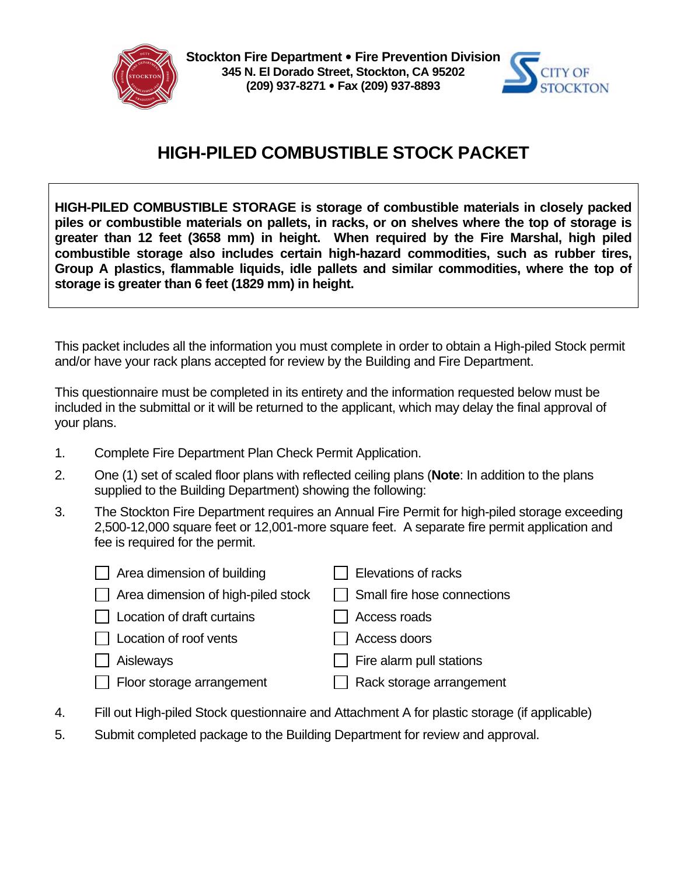

**Stockton Fire Department** y **Fire Prevention Division 345 N. El Dorado Street, Stockton, CA 95202 (209) 937-8271** y **Fax (209) 937-8893**



## **HIGH-PILED COMBUSTIBLE STOCK PACKET**

**HIGH-PILED COMBUSTIBLE STORAGE is storage of combustible materials in closely packed piles or combustible materials on pallets, in racks, or on shelves where the top of storage is greater than 12 feet (3658 mm) in height. When required by the Fire Marshal, high piled combustible storage also includes certain high-hazard commodities, such as rubber tires, Group A plastics, flammable liquids, idle pallets and similar commodities, where the top of storage is greater than 6 feet (1829 mm) in height.** 

This packet includes all the information you must complete in order to obtain a High-piled Stock permit and/or have your rack plans accepted for review by the Building and Fire Department.

This questionnaire must be completed in its entirety and the information requested below must be included in the submittal or it will be returned to the applicant, which may delay the final approval of your plans.

- 1. Complete Fire Department Plan Check Permit Application.
- 2. One (1) set of scaled floor plans with reflected ceiling plans (**Note**: In addition to the plans supplied to the Building Department) showing the following:
- 3. The Stockton Fire Department requires an Annual Fire Permit for high-piled storage exceeding 2,500-12,000 square feet or 12,001-more square feet. A separate fire permit application and fee is required for the permit.

| Area dimension of building         | Elevations of racks         |
|------------------------------------|-----------------------------|
| Area dimension of high-piled stock | Small fire hose connections |
| Location of draft curtains         | Access roads                |
| Location of roof vents             | Access doors                |
| Aisleways                          | Fire alarm pull stations    |
| Floor storage arrangement          | Rack storage arrangement    |
|                                    |                             |

- 4. Fill out High-piled Stock questionnaire and Attachment A for plastic storage (if applicable)
- 5. Submit completed package to the Building Department for review and approval.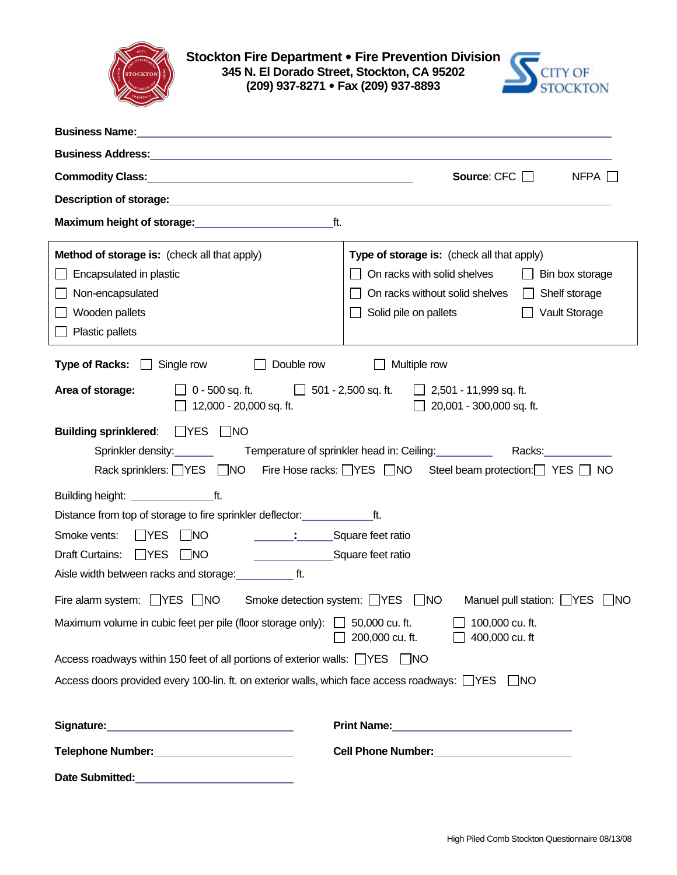

**Stockton Fire Department** y **Fire Prevention Division 345 N. El Dorado Street, Stockton, CA 95202 (209) 937-8271** y **Fax (209) 937-8893**



| <b>Business Name:</b><br>the control of the control of the control of the control of the control of the control of the control of the control of the control of the control of the control of the control of the control of the control of the control |                                                  |  |  |  |
|--------------------------------------------------------------------------------------------------------------------------------------------------------------------------------------------------------------------------------------------------------|--------------------------------------------------|--|--|--|
|                                                                                                                                                                                                                                                        |                                                  |  |  |  |
| Commodity Class: <u>Commodity Class:</u>                                                                                                                                                                                                               | Source: $CFC$ $\Box$<br>$NFPA$ $\Box$            |  |  |  |
|                                                                                                                                                                                                                                                        |                                                  |  |  |  |
| ft.<br>Maximum height of storage:<br>Maximum height of storage:                                                                                                                                                                                        |                                                  |  |  |  |
| Method of storage is: (check all that apply)                                                                                                                                                                                                           | Type of storage is: (check all that apply)       |  |  |  |
| Encapsulated in plastic                                                                                                                                                                                                                                | On racks with solid shelves<br>Bin box storage   |  |  |  |
| Non-encapsulated                                                                                                                                                                                                                                       | On racks without solid shelves<br>Shelf storage  |  |  |  |
| Wooden pallets                                                                                                                                                                                                                                         | Solid pile on pallets<br>Vault Storage           |  |  |  |
| Plastic pallets                                                                                                                                                                                                                                        |                                                  |  |  |  |
| <b>Type of Racks:</b><br>Single row<br>Double row<br>Multiple row<br>$\mathbf{1}$                                                                                                                                                                      |                                                  |  |  |  |
| $\Box$ 0 - 500 sq. ft. $\Box$ 501 - 2,500 sq. ft.<br>Area of storage:<br>2,501 - 11,999 sq. ft.<br>12,000 - 20,000 sq. ft.<br>20,001 - 300,000 sq. ft.                                                                                                 |                                                  |  |  |  |
| Building sprinklered: TYES NO<br>Sprinkler density: Temperature of sprinkler head in: Ceiling:<br>Racks: Racks<br>Fire Hose racks: VES NO Steel beam protection: YES NO<br>Rack sprinklers: VES DNO                                                    |                                                  |  |  |  |
|                                                                                                                                                                                                                                                        |                                                  |  |  |  |
| Distance from top of storage to fire sprinkler deflector:                                                                                                                                                                                              | ft.                                              |  |  |  |
| Smoke vents:<br>$\Box$ YES<br>$\Box$ NO<br>Square feet ratio                                                                                                                                                                                           |                                                  |  |  |  |
| Draft Curtains:<br>$\Box$ YES<br>$\Box$ NO<br>Square feet ratio                                                                                                                                                                                        |                                                  |  |  |  |
| Aisle width between racks and storage: [1.15] ft.                                                                                                                                                                                                      |                                                  |  |  |  |
| Fire alarm system: $\Box$ YES $\Box$ NO Smoke detection system: $\Box$ YES $\Box$ NO<br>Manuel pull station: VES<br><b>INO</b>                                                                                                                         |                                                  |  |  |  |
| Maximum volume in cubic feet per pile (floor storage only): $\Box$ 50,000 cu. ft.<br>$\Box$ 100,000 cu. ft.<br>200,000 cu. ft.<br>400,000 cu. ft                                                                                                       |                                                  |  |  |  |
| Access roadways within 150 feet of all portions of exterior walls: □ YES □ NO                                                                                                                                                                          |                                                  |  |  |  |
| Access doors provided every 100-lin. ft. on exterior walls, which face access roadways: TYES<br>$\parallel$ $NO$                                                                                                                                       |                                                  |  |  |  |
|                                                                                                                                                                                                                                                        |                                                  |  |  |  |
| Telephone Number:___________________________                                                                                                                                                                                                           | Cell Phone Number:<br><u> Cell Phone Number:</u> |  |  |  |

**Date Submitted:**